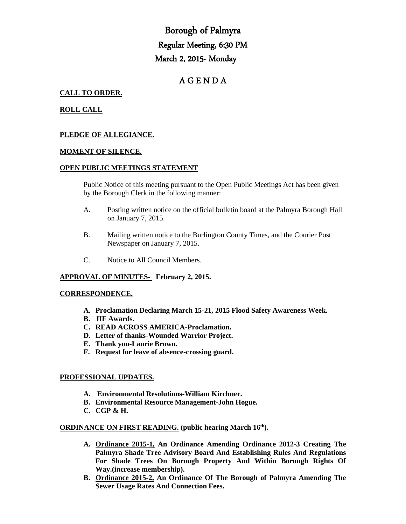# Borough of Palmyra Regular Meeting, 6:30 PM March 2, 2015- Monday

## A G E N D A

## **CALL TO ORDER.**

## **ROLL CALL**

## **PLEDGE OF ALLEGIANCE.**

#### **MOMENT OF SILENCE.**

#### **OPEN PUBLIC MEETINGS STATEMENT**

Public Notice of this meeting pursuant to the Open Public Meetings Act has been given by the Borough Clerk in the following manner:

- A. Posting written notice on the official bulletin board at the Palmyra Borough Hall on January 7, 2015.
- B. Mailing written notice to the Burlington County Times, and the Courier Post Newspaper on January 7, 2015.
- C. Notice to All Council Members.

#### **APPROVAL OF MINUTES- February 2, 2015.**

#### **CORRESPONDENCE.**

- **A. Proclamation Declaring March 15-21, 2015 Flood Safety Awareness Week.**
- **B. JIF Awards.**
- **C. READ ACROSS AMERICA-Proclamation.**
- **D. Letter of thanks-Wounded Warrior Project.**
- **E. Thank you-Laurie Brown.**
- **F. Request for leave of absence-crossing guard.**

#### **PROFESSIONAL UPDATES.**

- **A. Environmental Resolutions-William Kirchner.**
- **B. Environmental Resource Management-John Hogue.**
- **C. CGP & H.**

#### **ORDINANCE ON FIRST READING. (public hearing March 16th).**

- **A. Ordinance 2015-1, An Ordinance Amending Ordinance 2012-3 Creating The Palmyra Shade Tree Advisory Board And Establishing Rules And Regulations For Shade Trees On Borough Property And Within Borough Rights Of Way.(increase membership).**
- **B. Ordinance 2015-2, An Ordinance Of The Borough of Palmyra Amending The Sewer Usage Rates And Connection Fees.**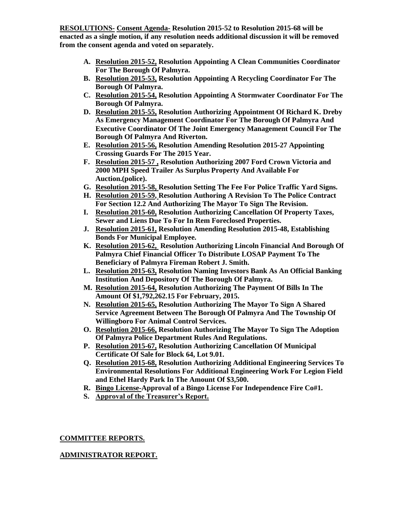**RESOLUTIONS- Consent Agenda- Resolution 2015-52 to Resolution 2015-68 will be enacted as a single motion, if any resolution needs additional discussion it will be removed from the consent agenda and voted on separately.**

- **A. Resolution 2015-52, Resolution Appointing A Clean Communities Coordinator For The Borough Of Palmyra.**
- **B. Resolution 2015-53, Resolution Appointing A Recycling Coordinator For The Borough Of Palmyra.**
- **C. Resolution 2015-54, Resolution Appointing A Stormwater Coordinator For The Borough Of Palmyra.**
- **D. Resolution 2015-55, Resolution Authorizing Appointment Of Richard K. Dreby As Emergency Management Coordinator For The Borough Of Palmyra And Executive Coordinator Of The Joint Emergency Management Council For The Borough Of Palmyra And Riverton.**
- **E. Resolution 2015-56, Resolution Amending Resolution 2015-27 Appointing Crossing Guards For The 2015 Year.**
- **F. Resolution 2015-57 , Resolution Authorizing 2007 Ford Crown Victoria and 2000 MPH Speed Trailer As Surplus Property And Available For Auction.(police).**
- **G. Resolution 2015-58, Resolution Setting The Fee For Police Traffic Yard Signs.**
- **H. Resolution 2015-59, Resolution Authoring A Revision To The Police Contract For Section 12.2 And Authorizing The Mayor To Sign The Revision.**
- **I. Resolution 2015-60, Resolution Authorizing Cancellation Of Property Taxes, Sewer and Liens Due To For In Rem Foreclosed Properties.**
- **J. Resolution 2015-61, Resolution Amending Resolution 2015-48, Establishing Bonds For Municipal Employee.**
- **K. Resolution 2015-62, Resolution Authorizing Lincoln Financial And Borough Of Palmyra Chief Financial Officer To Distribute LOSAP Payment To The Beneficiary of Palmyra Fireman Robert J. Smith.**
- **L. Resolution 2015-63, Resolution Naming Investors Bank As An Official Banking Institution And Depository Of The Borough Of Palmyra.**
- **M. Resolution 2015-64, Resolution Authorizing The Payment Of Bills In The Amount Of \$1,792,262.15 For February, 2015.**
- **N. Resolution 2015-65, Resolution Authorizing The Mayor To Sign A Shared Service Agreement Between The Borough Of Palmyra And The Township Of Willingboro For Animal Control Services.**
- **O. Resolution 2015-66, Resolution Authorizing The Mayor To Sign The Adoption Of Palmyra Police Department Rules And Regulations.**
- **P. Resolution 2015-67, Resolution Authorizing Cancellation Of Municipal Certificate Of Sale for Block 64, Lot 9.01.**
- **Q. Resolution 2015-68, Resolution Authorizing Additional Engineering Services To Environmental Resolutions For Additional Engineering Work For Legion Field and Ethel Hardy Park In The Amount Of \$3,500.**
- **R. Bingo License-Approval of a Bingo License For Independence Fire Co#1.**
- **S. Approval of the Treasurer's Report.**

## **COMMITTEE REPORTS.**

## **ADMINISTRATOR REPORT.**